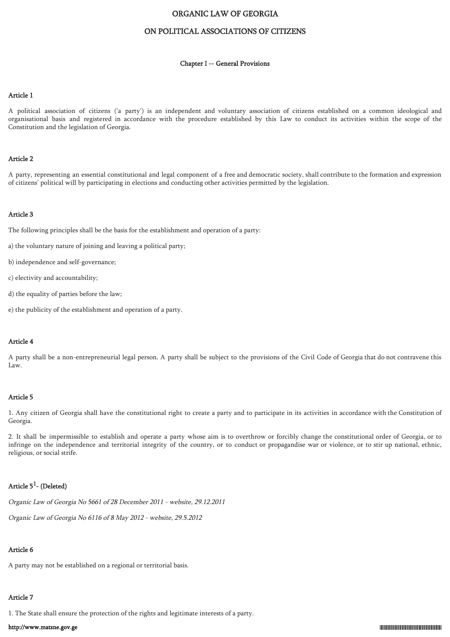# ORGANIC LAW OF GEORGIA

# ON POLITICAL ASSOCIATIONS OF CITIZENS

### Chapter I -- General Provisions

### Article 1

A political association of citizens ('a party') is an independent and voluntary association of citizens established on a common ideological and organisational basis and registered in accordance with the procedure established by this Law to conduct its activities within the scope of the Constitution and the legislation of Georgia.

### Article 2

A party, representing an essential constitutional and legal component of a free and democratic society, shall contribute to the formation and expression of citizens' political will by participating in elections and conducting other activities permitted by the legislation.

## Article 3

The following principles shall be the basis for the establishment and operation of a party:

- a) the voluntary nature of joining and leaving a political party;
- b) independence and self-governance;
- c) electivity and accountability;
- d) the equality of parties before the law;
- e) the publicity of the establishment and operation of a party.

### Article 4

A party shall be a non-entrepreneurial legal person. A party shall be subject to the provisions of the Civil Code of Georgia that do not contravene this Law.

## Article 5

1. Any citizen of Georgia shall have the constitutional right to create a party and to participate in its activities in accordance with the Constitution of Georgia.

2. It shall be impermissible to establish and operate a party whose aim is to overthrow or forcibly change the constitutional order of Georgia, or to infringe on the independence and territorial integrity of the country, or to conduct or propagandise war or violence, or to stir up national, ethnic, religious, or social strife.

# Article  $5^1$ - (Deleted)

Organic Law of Georgia No 5661 of 28 December 2011 - website, 29.12.2011

Organic Law of Georgia No 6116 of 8 May 2012 - website, 29.5.2012

# Article 6

A party may not be established on a regional or territorial basis.

# Article 7

1. The State shall ensure the protection of the rights and legitimate interests of a party.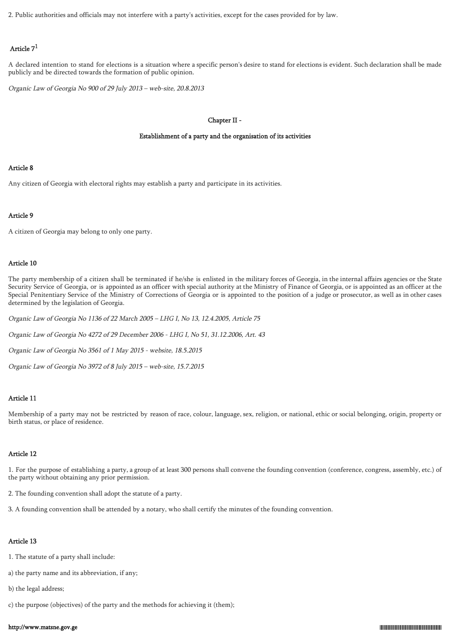2. Public authorities and officials may not interfere with a party's activities, except for the cases provided for by law.

# Article 7<sup>1</sup>

A declared intention to stand for elections is a situation where a specific person's desire to stand for elections is evident. Such declaration shall be made publicly and be directed towards the formation of public opinion.

Organic Law of Georgia No 900 of 29 July 2013 – web-site, 20.8.2013

## Chapter II -

## Establishment of a party and the organisation of its activities

## Article 8

Any citizen of Georgia with electoral rights may establish a party and participate in its activities.

## Article 9

A citizen of Georgia may belong to only one party.

## Article 10

The party membership of a citizen shall be terminated if he/she is enlisted in the military forces of Georgia, in the internal affairs agencies or the State Security Service of Georgia, or is appointed as an officer with special authority at the Ministry of Finance of Georgia, or is appointed as an officer at the Special Penitentiary Service of the Ministry of Corrections of Georgia or is appointed to the position of a judge or prosecutor, as well as in other cases determined by the legislation of Georgia.

Organic Law of Georgia No 1136 of 22 March 2005 – LHG I, No 13, 12.4.2005, Article 75

Organic Law of Georgia No 4272 of 29 December 2006 - LHG I, No 51, 31.12.2006, Art. 43

Organic Law of Georgia No 3561 of 1 May 2015 - website, 18.5.2015

Organic Law of Georgia No 3972 of 8 July 2015 – web-site, 15.7.2015

## Article 11

Membership of a party may not be restricted by reason of race, colour, language, sex, religion, or national, ethic or social belonging, origin, property or birth status, or place of residence.

## Article 12

1. For the purpose of establishing a party, a group of at least 300 persons shall convene the founding convention (conference, congress, assembly, etc.) of the party without obtaining any prior permission.

2. The founding convention shall adopt the statute of a party.

3. A founding convention shall be attended by a notary, who shall certify the minutes of the founding convention.

## Article 13

1. The statute of a party shall include:

a) the party name and its abbreviation, if any;

b) the legal address;

c) the purpose (objectives) of the party and the methods for achieving it (them);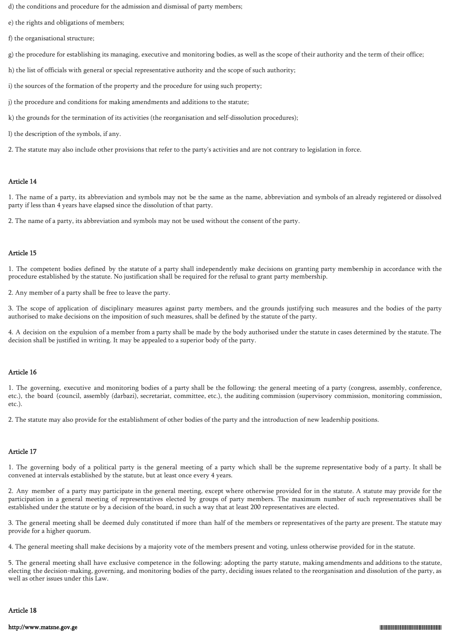d) the conditions and procedure for the admission and dismissal of party members;

e) the rights and obligations of members;

f) the organisational structure;

g) the procedure for establishing its managing, executive and monitoring bodies, as well as the scope of their authority and the term of their office;

h) the list of officials with general or special representative authority and the scope of such authority;

i) the sources of the formation of the property and the procedure for using such property;

j) the procedure and conditions for making amendments and additions to the statute;

k) the grounds for the termination of its activities (the reorganisation and self-dissolution procedures);

l) the description of the symbols, if any.

2. The statute may also include other provisions that refer to the party's activities and are not contrary to legislation in force.

## Article 14

1. The name of a party, its abbreviation and symbols may not be the same as the name, abbreviation and symbols of an already registered or dissolved party if less than 4 years have elapsed since the dissolution of that party.

2. The name of a party, its abbreviation and symbols may not be used without the consent of the party.

# Article 15

1. The competent bodies defined by the statute of a party shall independently make decisions on granting party membership in accordance with the procedure established by the statute. No justification shall be required for the refusal to grant party membership.

2. Any member of a party shall be free to leave the party.

3. The scope of application of disciplinary measures against party members, and the grounds justifying such measures and the bodies of the party authorised to make decisions on the imposition of such measures, shall be defined by the statute of the party.

4. A decision on the expulsion of a member from a party shall be made by the body authorised under the statute in cases determined by the statute. The decision shall be justified in writing. It may be appealed to a superior body of the party.

## Article 16

1. The governing, executive and monitoring bodies of a party shall be the following: the general meeting of a party (congress, assembly, conference, etc.), the board (council, assembly (darbazi), secretariat, committee, etc.), the auditing commission (supervisory commission, monitoring commission, etc.).

2. The statute may also provide for the establishment of other bodies of the party and the introduction of new leadership positions.

# Article 17

1. The governing body of a political party is the general meeting of a party which shall be the supreme representative body of a party. It shall be convened at intervals established by the statute, but at least once every 4 years.

2. Any member of a party may participate in the general meeting, except where otherwise provided for in the statute. A statute may provide for the participation in a general meeting of representatives elected by groups of party members. The maximum number of such representatives shall be established under the statute or by a decision of the board, in such a way that at least 200 representatives are elected.

3. The general meeting shall be deemed duly constituted if more than half of the members or representatives of the party are present. The statute may provide for a higher quorum.

4. The general meeting shall make decisions by a majority vote of the members present and voting, unless otherwise provided for in the statute.

5. The general meeting shall have exclusive competence in the following: adopting the party statute, making amendments and additions to the statute, electing the decision-making, governing, and monitoring bodies of the party, deciding issues related to the reorganisation and dissolution of the party, as well as other issues under this Law.

## Article 18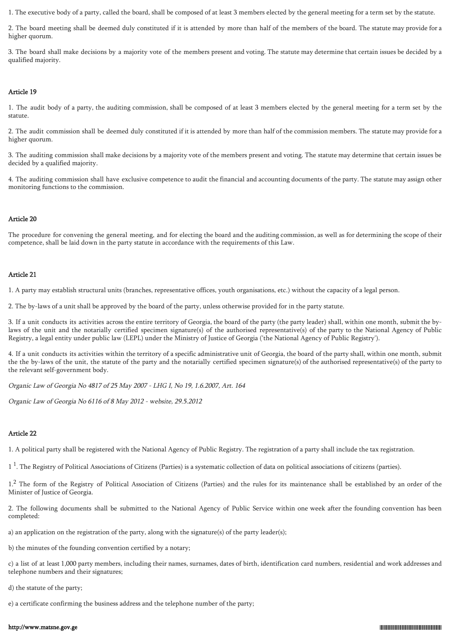1. The executive body of a party, called the board, shall be composed of at least 3 members elected by the general meeting for a term set by the statute.

2. The board meeting shall be deemed duly constituted if it is attended by more than half of the members of the board. The statute may provide for a higher quorum.

3. The board shall make decisions by a majority vote of the members present and voting. The statute may determine that certain issues be decided by a qualified majority.

### Article 19

1. The audit body of a party, the auditing commission, shall be composed of at least 3 members elected by the general meeting for a term set by the statute.

2. The audit commission shall be deemed duly constituted if it is attended by more than half of the commission members. The statute may provide for a higher quorum.

3. The auditing commission shall make decisions by a majority vote of the members present and voting. The statute may determine that certain issues be decided by a qualified majority.

4. The auditing commission shall have exclusive competence to audit the financial and accounting documents of the party. The statute may assign other monitoring functions to the commission.

# Article 20

The procedure for convening the general meeting, and for electing the board and the auditing commission, as well as for determining the scope of their competence, shall be laid down in the party statute in accordance with the requirements of this Law.

## Article 21

1. A party may establish structural units (branches, representative offices, youth organisations, etc.) without the capacity of a legal person.

2. The by-laws of a unit shall be approved by the board of the party, unless otherwise provided for in the party statute.

3. If a unit conducts its activities across the entire territory of Georgia, the board of the party (the party leader) shall, within one month, submit the bylaws of the unit and the notarially certified specimen signature(s) of the authorised representative(s) of the party to the National Agency of Public Registry, a legal entity under public law (LEPL) under the Ministry of Justice of Georgia ('the National Agency of Public Registry').

4. If a unit conducts its activities within the territory of a specific administrative unit of Georgia, the board of the party shall, within one month, submit the the by-laws of the unit, the statute of the party and the notarially certified specimen signature(s) of the authorised representative(s) of the party to the relevant self-government body.

Organic Law of Georgia No 4817 of 25 May 2007 - LHG I, No 19, 1.6.2007, Art. 164

Organic Law of Georgia No 6116 of 8 May 2012 - website, 29.5.2012

# Article 22

1. A political party shall be registered with the National Agency of Public Registry. The registration of a party shall include the tax registration.

1<sup>1</sup>. The Registry of Political Associations of Citizens (Parties) is a systematic collection of data on political associations of citizens (parties).

1.<sup>2</sup> The form of the Registry of Political Association of Citizens (Parties) and the rules for its maintenance shall be established by an order of the Minister of Justice of Georgia.

2. The following documents shall be submitted to the National Agency of Public Service within one week after the founding convention has been completed:

a) an application on the registration of the party, along with the signature(s) of the party leader(s);

b) the minutes of the founding convention certified by a notary;

c) a list of at least 1,000 party members, including their names, surnames, dates of birth, identification card numbers, residential and work addresses and telephone numbers and their signatures;

d) the statute of the party;

e) a certificate confirming the business address and the telephone number of the party;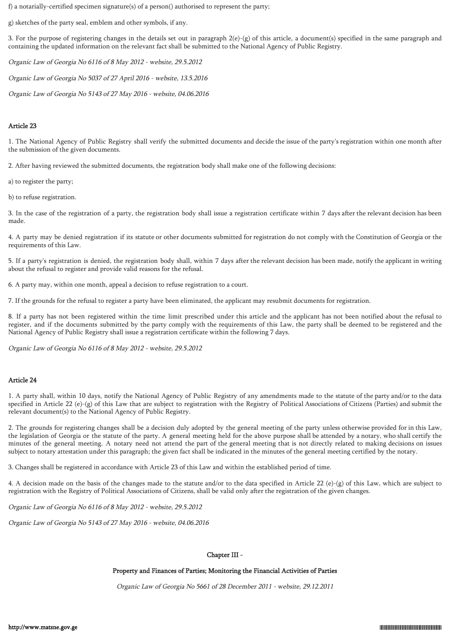f) a notarially-certified specimen signature(s) of a person() authorised to represent the party;

g) sketches of the party seal, emblem and other symbols, if any.

3. For the purpose of registering changes in the details set out in paragraph  $2(e)$ -(g) of this article, a document(s) specified in the same paragraph and containing the updated information on the relevant fact shall be submitted to the National Agency of Public Registry.

Organic Law of Georgia No 6116 of 8 May 2012 - website, 29.5.2012

Organic Law of Georgia No 5037 of 27 April 2016 - website, 13.5.2016

Organic Law of Georgia No 5143 of 27 May 2016 - website, 04.06.2016

## Article 23

1. The National Agency of Public Registry shall verify the submitted documents and decide the issue of the party's registration within one month after the submission of the given documents.

2. After having reviewed the submitted documents, the registration body shall make one of the following decisions:

a) to register the party;

b) to refuse registration.

3. In the case of the registration of a party, the registration body shall issue a registration certificate within 7 days after the relevant decision has been made.

4. A party may be denied registration if its statute or other documents submitted for registration do not comply with the Constitution of Georgia or the requirements of this Law.

5. If a party's registration is denied, the registration body shall, within 7 days after the relevant decision has been made, notify the applicant in writing about the refusal to register and provide valid reasons for the refusal.

6. A party may, within one month, appeal a decision to refuse registration to a court.

7. If the grounds for the refusal to register a party have been eliminated, the applicant may resubmit documents for registration.

8. If a party has not been registered within the time limit prescribed under this article and the applicant has not been notified about the refusal to register, and if the documents submitted by the party comply with the requirements of this Law, the party shall be deemed to be registered and the National Agency of Public Registry shall issue a registration certificate within the following 7 days.

Organic Law of Georgia No 6116 of 8 May 2012 - website, 29.5.2012

## Article 24

1. A party shall, within 10 days, notify the National Agency of Public Registry of any amendments made to the statute of the party and/or to the data specified in Article 22 (e)-(g) of this Law that are subject to registration with the Registry of Political Associations of Citizens (Parties) and submit the relevant document(s) to the National Agency of Public Registry.

2. The grounds for registering changes shall be a decision duly adopted by the general meeting of the party unless otherwise provided for in this Law, the legislation of Georgia or the statute of the party. A general meeting held for the above purpose shall be attended by a notary, who shall certify the minutes of the general meeting. A notary need not attend the part of the general meeting that is not directly related to making decisions on issues subject to notary attestation under this paragraph; the given fact shall be indicated in the minutes of the general meeting certified by the notary.

3. Changes shall be registered in accordance with Article 23 of this Law and within the established period of time.

4. A decision made on the basis of the changes made to the statute and/or to the data specified in Article 22 (e)-(g) of this Law, which are subject to registration with the Registry of Political Associations of Citizens, shall be valid only after the registration of the given changes.

Organic Law of Georgia No 6116 of 8 May 2012 - website, 29.5.2012

Organic Law of Georgia No 5143 of 27 May 2016 - website, 04.06.2016

## Chapter III -

## Property and Finances of Parties; Monitoring the Financial Activities of Parties

Organic Law of Georgia No 5661 of 28 December 2011 - website, 29.12.2011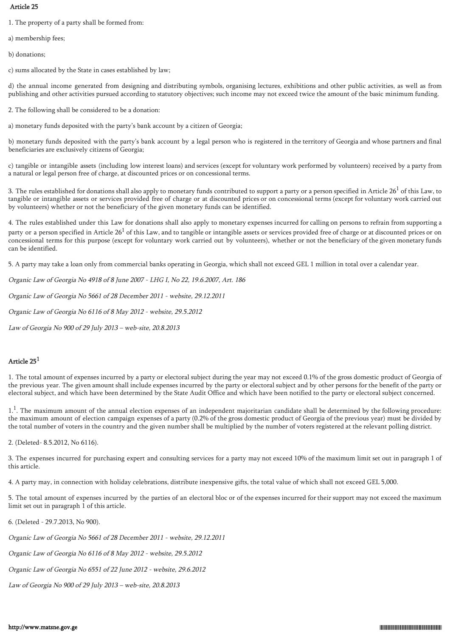## Article 25

1. The property of a party shall be formed from:

a) membership fees;

b) donations;

c) sums allocated by the State in cases established by law;

d) the annual income generated from designing and distributing symbols, organising lectures, exhibitions and other public activities, as well as from publishing and other activities pursued according to statutory objectives; such income may not exceed twice the amount of the basic minimum funding.

2. The following shall be considered to be a donation:

a) monetary funds deposited with the party's bank account by a citizen of Georgia;

b) monetary funds deposited with the party's bank account by a legal person who is registered in the territory of Georgia and whose partners and final beneficiaries are exclusively citizens of Georgia;

c) tangible or intangible assets (including low interest loans) and services (except for voluntary work performed by volunteers) received by a party from a natural or legal person free of charge, at discounted prices or on concessional terms.

3. The rules established for donations shall also apply to monetary funds contributed to support a party or a person specified in Article  $26<sup>1</sup>$  of this Law, to tangible or intangible assets or services provided free of charge or at discounted prices or on concessional terms (except for voluntary work carried out by volunteers) whether or not the beneficiary of the given monetary funds can be identified.

4. The rules established under this Law for donations shall also apply to monetary expenses incurred for calling on persons to refrain from supporting a party or a person specified in Article  $26<sup>1</sup>$  of this Law, and to tangible or intangible assets or services provided free of charge or at discounted prices or on concessional terms for this purpose (except for voluntary work carried out by volunteers), whether or not the beneficiary of the given monetary funds can be identified.

5. A party may take a loan only from commercial banks operating in Georgia, which shall not exceed GEL 1 million in total over a calendar year.

Organic Law of Georgia No 4918 of 8 June 2007 - LHG I, No 22, 19.6.2007, Art. 186

Organic Law of Georgia No 5661 of 28 December 2011 - website, 29.12.2011

Organic Law of Georgia No 6116 of 8 May 2012 - website, 29.5.2012

Law of Georgia No 900 of 29 July 2013 – web-site, 20.8.2013

# Article 25<sup>1</sup>

1. The total amount of expenses incurred by a party or electoral subject during the year may not exceed 0.1% of the gross domestic product of Georgia of the previous year. The given amount shall include expenses incurred by the party or electoral subject and by other persons for the benefit of the party or electoral subject, and which have been determined by the State Audit Office and which have been notified to the party or electoral subject concerned.

1.<sup>1</sup>. The maximum amount of the annual election expenses of an independent majoritarian candidate shall be determined by the following procedure: the maximum amount of election campaign expenses of a party (0.2% of the gross domestic product of Georgia of the previous year) must be divided by the total number of voters in the country and the given number shall be multiplied by the number of voters registered at the relevant polling district.

2. (Deleted- 8.5.2012, No 6116).

3. The expenses incurred for purchasing expert and consulting services for a party may not exceed 10% of the maximum limit set out in paragraph 1 of this article.

4. A party may, in connection with holiday celebrations, distribute inexpensive gifts, the total value of which shall not exceed GEL 5,000.

5. The total amount of expenses incurred by the parties of an electoral bloc or of the expenses incurred for their support may not exceed the maximum limit set out in paragraph 1 of this article.

6. (Deleted - 29.7.2013, No 900).

Organic Law of Georgia No 5661 of 28 December 2011 - website, 29.12.2011

Organic Law of Georgia No 6116 of 8 May 2012 - website, 29.5.2012

Organic Law of Georgia No 6551 of 22 June 2012 - website, 29.6.2012

Law of Georgia No 900 of 29 July 2013 – web-site, 20.8.2013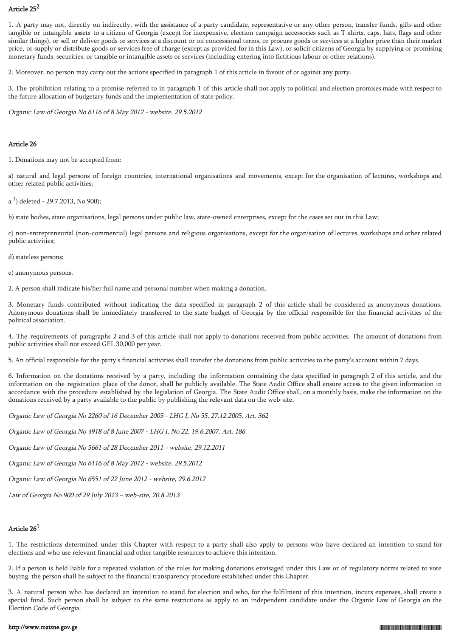# Article 25<sup>2</sup>

1. A party may not, directly on indirectly, with the assistance of a party candidate, representative or any other person, transfer funds, gifts and other tangible or intangible assets to a citizen of Georgia (except for inexpensive, election campaign accessories such as T-shirts, caps, hats, flags and other similar things), or sell or deliver goods or services at a discount or on concessional terms, or procure goods or services at a higher price than their market price, or supply or distribute goods or services free of charge (except as provided for in this Law), or solicit citizens of Georgia by supplying or promising monetary funds, securities, or tangible or intangible assets or services (including entering into fictitious labour or other relations).

2. Moreover, no person may carry out the actions specified in paragraph 1 of this article in favour of or against any party.

3. The prohibition relating to a promise referred to in paragraph 1 of this article shall not apply to political and election promises made with respect to the future allocation of budgetary funds and the implementation of state policy.

Organic Law of Georgia No 6116 of 8 May 2012 - website, 29.5.2012

## Article 26

1. Donations may not be accepted from:

a) natural and legal persons of foreign countries, international organisations and movements, except for the organisation of lectures, workshops and other related public activities;

a  $^{1}$ ) deleted - 29.7.2013, No 900);

b) state bodies, state organisations, legal persons under public law, state-owned enterprises, except for the cases set out in this Law;

c) non-entrepreneurial (non-commercial) legal persons and religious organisations, except for the organisation of lectures, workshops and other related public activities;

d) stateless persons;

e) anonymous persons.

2. A person shall indicate his/her full name and personal number when making a donation.

3. Monetary funds contributed without indicating the data specified in paragraph 2 of this article shall be considered as anonymous donations. Anonymous donations shall be immediately transferred to the state budget of Georgia by the official responsible for the financial activities of the political association.

4. The requirements of paragraphs 2 and 3 of this article shall not apply to donations received from public activities. The amount of donations from public activities shall not exceed GEL 30,000 per year.

5. An official responsible for the party's financial activities shall transfer the donations from public activities to the party's account within 7 days.

6. Information on the donations received by a party, including the information containing the data specified in paragraph 2 of this article, and the information on the registration place of the donor, shall be publicly available. The State Audit Office shall ensure access to the given information in accordance with the procedure established by the legislation of Georgia. The State Audit Office shall, on a monthly basis, make the information on the donations received by a party available to the public by publishing the relevant data on the web-site.

Organic Law of Georgia No 2260 of 16 December 2005 - LHG I, No 55, 27.12.2005, Art. 362

Organic Law of Georgia No 4918 of 8 June 2007 - LHG I, No 22, 19.6.2007, Art. 186

Organic Law of Georgia No 5661 of 28 December 2011 - website, 29.12.2011

Organic Law of Georgia No 6116 of 8 May 2012 - website, 29.5.2012

Organic Law of Georgia No 6551 of 22 June 2012 - website, 29.6.2012

Law of Georgia No 900 of 29 July 2013 – web-site, 20.8.2013

# Article 26<sup>1</sup>

1. The restrictions determined under this Chapter with respect to a party shall also apply to persons who have declared an intention to stand for elections and who use relevant financial and other tangible resources to achieve this intention.

2. If a person is held liable for a repeated violation of the rules for making donations envisaged under this Law or of regulatory norms related to vote buying, the person shall be subject to the financial transparency procedure established under this Chapter.

3. A natural person who has declared an intention to stand for election and who, for the fulfilment of this intention, incurs expenses, shall create a special fund. Such person shall be subject to the same restrictions as apply to an independent candidate under the Organic Law of Georgia on the Election Code of Georgia.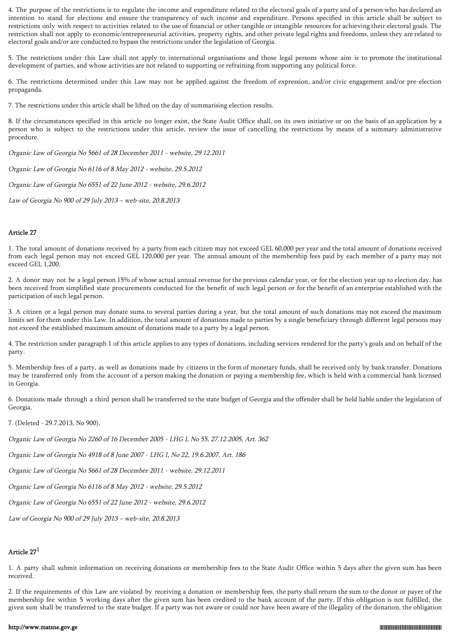4. The purpose of the restrictions is to regulate the income and expenditure related to the electoral goals of a party and of a person who has declared an intention to stand for elections and ensure the transparency of such income and expenditure. Persons specified in this article shall be subject to restrictions only with respect to activities related to the use of financial or other tangible or intangible resources for achieving their electoral goals. The restriction shall not apply to economic/entrepreneurial activities, property rights, and other private legal rights and freedoms, unless they are related to electoral goals and/or are conducted to bypass the restrictions under the legislation of Georgia.

5. The restrictions under this Law shall not apply to international organisations and those legal persons whose aim is to promote the institutional development of parties, and whose activities are not related to supporting or refraining from supporting any political force.

6. The restrictions determined under this Law may not be applied against the freedom of expression, and/or civic engagement and/or pre-election propaganda.

7. The restrictions under this article shall be lifted on the day of summarising election results.

8. If the circumstances specified in this article no longer exist, the State Audit Office shall, on its own initiative or on the basis of an application by a person who is subject to the restrictions under this article, review the issue of cancelling the restrictions by means of a summary administrative procedure.

Organic Law of Georgia No 5661 of 28 December 2011 - website, 29.12.2011

Organic Law of Georgia No 6116 of 8 May 2012 - website, 29.5.2012

Organic Law of Georgia No 6551 of 22 June 2012 - website, 29.6.2012

Law of Georgia No 900 of 29 July 2013 – web-site, 20.8.2013

## Article 27

1. The total amount of donations received by a party from each citizen may not exceed GEL 60,000 per year and the total amount of donations received from each legal person may not exceed GEL 120,000 per year. The annual amount of the membership fees paid by each member of a party may not exceed GEL 1,200.

2. A donor may not be a legal person 15% of whose actual annual revenue for the previous calendar year, or for the election year up to election day, has been received from simplified state procurements conducted for the benefit of such legal person or for the benefit of an enterprise established with the participation of such legal person.

3. A citizen or a legal person may donate sums to several parties during a year, but the total amount of such donations may not exceed the maximum limits set for them under this Law. In addition, the total amount of donations made to parties by a single beneficiary through different legal persons may not exceed the established maximum amount of donations made to a party by a legal person.

4. The restriction under paragraph 1 of this article applies to any types of donations, including services rendered for the party's goals and on behalf of the party.

5. Membership fees of a party, as well as donations made by citizens in the form of monetary funds, shall be received only by bank transfer. Donations may be transferred only from the account of a person making the donation or paying a membership fee, which is held with a commercial bank licensed in Georgia.

6. Donations made through a third person shall be transferred to the state budget of Georgia and the offender shall be held liable under the legislation of Georgia.

7. (Deleted - 29.7.2013, No 900).

Organic Law of Georgia No 2260 of 16 December 2005 - LHG I, No 55, 27.12.2005, Art. 362

Organic Law of Georgia No 4918 of 8 June 2007 - LHG I, No 22, 19.6.2007, Art. 186

Organic Law of Georgia No 5661 of 28 December 2011 - website, 29.12.2011

Organic Law of Georgia No 6116 of 8 May 2012 - website, 29.5.2012

Organic Law of Georgia No 6551 of 22 June 2012 - website, 29.6.2012

Law of Georgia No 900 of 29 July 2013 – web-site, 20.8.2013

# Article 27<sup>1</sup>

1. A party shall submit information on receiving donations or membership fees to the State Audit Office within 5 days after the given sum has been received.

2. If the requirements of this Law are violated by receiving a donation or membership fees, the party shall return the sum to the donor or payer of the membership fee within 5 working days after the given sum has been credited to the bank account of the party. If this obligation is not fulfilled, the given sum shall be transferred to the state budget. If a party was not aware or could not have been aware of the illegality of the donation, the obligation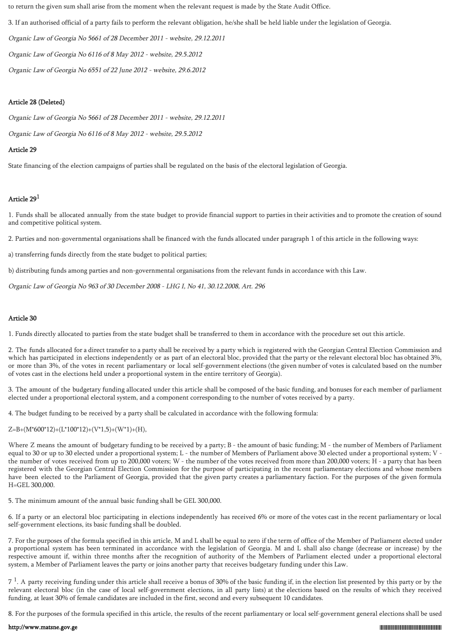to return the given sum shall arise from the moment when the relevant request is made by the State Audit Office.

3. If an authorised official of a party fails to perform the relevant obligation, he/she shall be held liable under the legislation of Georgia.

Organic Law of Georgia No 5661 of 28 December 2011 - website, 29.12.2011

Organic Law of Georgia No 6116 of 8 May 2012 - website, 29.5.2012

Organic Law of Georgia No 6551 of 22 June 2012 - website, 29.6.2012

# Article 28 (Deleted)

Organic Law of Georgia No 5661 of 28 December 2011 - website, 29.12.2011

Organic Law of Georgia No 6116 of 8 May 2012 - website, 29.5.2012

# Article 29

State financing of the election campaigns of parties shall be regulated on the basis of the electoral legislation of Georgia.

# Article 29<sup>1</sup>

1. Funds shall be allocated annually from the state budget to provide financial support to parties in their activities and to promote the creation of sound and competitive political system.

2. Parties and non-governmental organisations shall be financed with the funds allocated under paragraph 1 of this article in the following ways:

a) transferring funds directly from the state budget to political parties;

b) distributing funds among parties and non-governmental organisations from the relevant funds in accordance with this Law.

Organic Law of Georgia No 963 of 30 December 2008 - LHG I, No 41, 30.12.2008, Art. 296

# Article 30

1. Funds directly allocated to parties from the state budget shall be transferred to them in accordance with the procedure set out this article.

2. The funds allocated for a direct transfer to a party shall be received by a party which is registered with the Georgian Central Election Commission and which has participated in elections independently or as part of an electoral bloc, provided that the party or the relevant electoral bloc has obtained 3%, or more than 3%, of the votes in recent parliamentary or local self-government elections (the given number of votes is calculated based on the number of votes cast in the elections held under a proportional system in the entire territory of Georgia).

3. The amount of the budgetary funding allocated under this article shall be composed of the basic funding, and bonuses for each member of parliament elected under a proportional electoral system, and a component corresponding to the number of votes received by a party.

4. The budget funding to be received by a party shall be calculated in accordance with the following formula:

 $Z=B+(M*600*12)+(L*100*12)+(V*1,5)+(W*1)+(H),$ 

Where Z means the amount of budgetary funding to be received by a party; B - the amount of basic funding; M - the number of Members of Parliament equal to 30 or up to 30 elected under a proportional system; L - the number of Members of Parliament above 30 elected under a proportional system; V the number of votes received from up to 200,000 voters; W - the number of the votes received from more than 200,000 voters; H - a party that has been registered with the Georgian Central Election Commission for the purpose of participating in the recent parliamentary elections and whose members have been elected to the Parliament of Georgia, provided that the given party creates a parliamentary faction. For the purposes of the given formula H=GEL 300,000.

5. The minimum amount of the annual basic funding shall be GEL 300,000.

6. If a party or an electoral bloc participating in elections independently has received 6% or more of the votes cast in the recent parliamentary or local self-government elections, its basic funding shall be doubled.

7. For the purposes of the formula specified in this article, M and L shall be equal to zero if the term of office of the Member of Parliament elected under a proportional system has been terminated in accordance with the legislation of Georgia. M and L shall also change (decrease or increase) by the respective amount if, within three months after the recognition of authority of the Members of Parliament elected under a proportional electoral system, a Member of Parliament leaves the party or joins another party that receives budgetary funding under this Law.

 $7<sup>1</sup>$ . A party receiving funding under this article shall receive a bonus of 30% of the basic funding if, in the election list presented by this party or by the relevant electoral bloc (in the case of local self-government elections, in all party lists) at the elections based on the results of which they received funding, at least 30% of female candidates are included in the first, second and every subsequent 10 candidates.

8. For the purposes of the formula specified in this article, the results of the recent parliamentary or local self-government general elections shall be used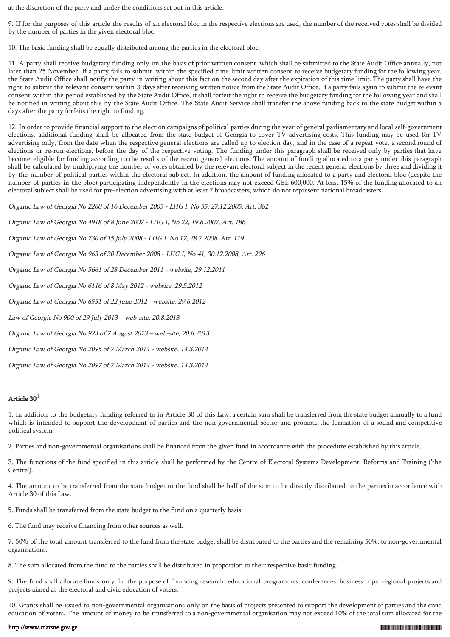at the discretion of the party and under the conditions set out in this article.

9. If for the purposes of this article the results of an electoral bloc in the respective elections are used, the number of the received votes shall be divided by the number of parties in the given electoral bloc.

10. The basic funding shall be equally distributed among the parties in the electoral bloc.

11. A party shall receive budgetary funding only on the basis of prior written consent, which shall be submitted to the State Audit Office annually, not later than 25 November. If a party fails to submit, within the specified time limit written consent to receive budgetary funding for the following year, the State Audit Office shall notify the party in writing about this fact on the second day after the expiration of this time limit. The party shall have the right to submit the relevant consent within 3 days after receiving written notice from the State Audit Office. If a party fails again to submit the relevant consent within the period established by the State Audit Office, it shall forfeit the right to receive the budgetary funding for the following year and shall be notified in writing about this by the State Audit Office. The State Audit Service shall transfer the above funding back to the state budget within 5 days after the party forfeits the right to funding.

12. In order to provide financial support to the election campaigns of political parties during the year of general parliamentary and local self-government elections, additional funding shall be allocated from the state budget of Georgia to cover TV advertising costs. This funding may be used for TV advertising only, from the date when the respective general elections are called up to election day, and in the case of a repeat vote, a second round of elections or re-run elections, before the day of the respective voting. The funding under this paragraph shall be received only by parties that have become eligible for funding according to the results of the recent general elections. The amount of funding allocated to a party under this paragraph shall be calculated by multiplying the number of votes obtained by the relevant electoral subject in the recent general elections by three and dividing it by the number of political parties within the electoral subject. In addition, the amount of funding allocated to a party and electoral bloc (despite the number of parties in the bloc) participating independently in the elections may not exceed GEL 600,000. At least 15% of the funding allocated to an electoral subject shall be used for pre-election advertising with at least 7 broadcasters, which do not represent national broadcasters.

Organic Law of Georgia No 2260 of 16 December 2005 - LHG I, No 55, 27.12.2005, Art. 362

Organic Law of Georgia No 4918 of 8 June 2007 - LHG I, No 22, 19.6.2007, Art. 186

Organic Law of Georgia No 230 of 15 July 2008 - LHG I, No 17, 28.7.2008, Art. 119

Organic Law of Georgia No 963 of 30 December 2008 - LHG I, No 41, 30.12.2008, Art. 296

Organic Law of Georgia No 5661 of 28 December 2011 - website, 29.12.2011

Organic Law of Georgia No 6116 of 8 May 2012 - website, 29.5.2012

Organic Law of Georgia No 6551 of 22 June 2012 - website, 29.6.2012

Law of Georgia No 900 of 29 July 2013 – web-site, 20.8.2013

Organic Law of Georgia No 923 of 7 August 2013 – web-site, 20.8.2013

Organic Law of Georgia No 2095 of 7 March 2014 - website, 14.3.2014

Organic Law of Georgia No 2097 of 7 March 2014 - website, 14.3.2014

## Article 30<sup>1</sup>

1. In addition to the budgetary funding referred to in Article 30 of this Law, a certain sum shall be transferred from the state budget annually to a fund which is intended to support the development of parties and the non-governmental sector and promote the formation of a sound and competitive political system.

2. Parties and non-governmental organisations shall be financed from the given fund in accordance with the procedure established by this article.

3. The functions of the fund specified in this article shall be performed by the Centre of Electoral Systems Development, Reforms and Training ('the Centre').

4. The amount to be transferred from the state budget to the fund shall be half of the sum to be directly distributed to the parties in accordance with Article 30 of this Law.

5. Funds shall be transferred from the state budget to the fund on a quarterly basis.

6. The fund may receive financing from other sources as well.

7. 50% of the total amount transferred to the fund from the state budget shall be distributed to the parties and the remaining 50%, to non-governmental organisations.

8. The sum allocated from the fund to the parties shall be distributed in proportion to their respective basic funding.

9. The fund shall allocate funds only for the purpose of financing research, educational programmes, conferences, business trips, regional projects and projects aimed at the electoral and civic education of voters.

10. Grants shall be issued to non-governmental organisations only on the basis of projects presented to support the development of parties and the civic education of voters. The amount of money to be transferred to a non-governmental organisation may not exceed 10% of the total sum allocated for the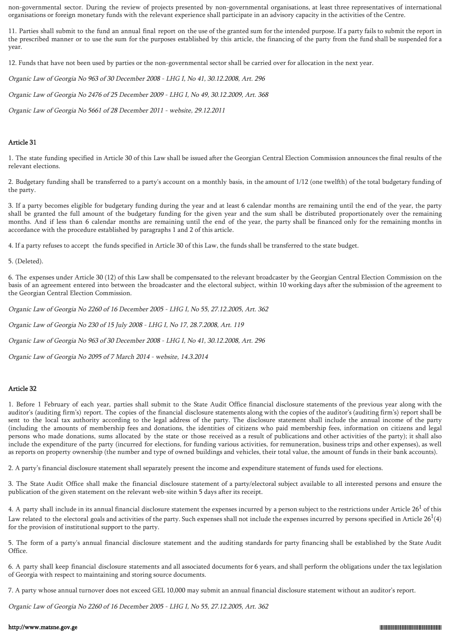non-governmental sector. During the review of projects presented by non-governmental organisations, at least three representatives of international organisations or foreign monetary funds with the relevant experience shall participate in an advisory capacity in the activities of the Centre.

11. Parties shall submit to the fund an annual final report on the use of the granted sum for the intended purpose. If a party fails to submit the report in the prescribed manner or to use the sum for the purposes established by this article, the financing of the party from the fund shall be suspended for a year.

12. Funds that have not been used by parties or the non-governmental sector shall be carried over for allocation in the next year.

Organic Law of Georgia No 963 of 30 December 2008 - LHG I, No 41, 30.12.2008, Art. 296

Organic Law of Georgia No 2476 of 25 December 2009 - LHG I, No 49, 30.12.2009, Art. 368

Organic Law of Georgia No 5661 of 28 December 2011 - website, 29.12.2011

### Article 31

1. The state funding specified in Article 30 of this Law shall be issued after the Georgian Central Election Commission announces the final results of the relevant elections.

2. Budgetary funding shall be transferred to a party's account on a monthly basis, in the amount of 1/12 (one twelfth) of the total budgetary funding of the party.

3. If a party becomes eligible for budgetary funding during the year and at least 6 calendar months are remaining until the end of the year, the party shall be granted the full amount of the budgetary funding for the given year and the sum shall be distributed proportionately over the remaining months. And if less than 6 calendar months are remaining until the end of the year, the party shall be financed only for the remaining months in accordance with the procedure established by paragraphs 1 and 2 of this article.

4. If a party refuses to accept the funds specified in Article 30 of this Law, the funds shall be transferred to the state budget.

5. (Deleted).

6. The expenses under Article 30 (12) of this Law shall be compensated to the relevant broadcaster by the Georgian Central Election Commission on the basis of an agreement entered into between the broadcaster and the electoral subject, within 10 working days after the submission of the agreement to the Georgian Central Election Commission.

Organic Law of Georgia No 2260 of 16 December 2005 - LHG I, No 55, 27.12.2005, Art. 362

Organic Law of Georgia No 230 of 15 July 2008 - LHG I, No 17, 28.7.2008, Art. 119

Organic Law of Georgia No 963 of 30 December 2008 - LHG I, No 41, 30.12.2008, Art. 296

Organic Law of Georgia No 2095 of 7 March 2014 - website, 14.3.2014

## Article 32

1. Before 1 February of each year, parties shall submit to the State Audit Office financial disclosure statements of the previous year along with the auditor's (auditing firm's) report. The copies of the financial disclosure statements along with the copies of the auditor's (auditing firm's) report shall be sent to the local tax authority according to the legal address of the party. The disclosure statement shall include the annual income of the party (including the amounts of membership fees and donations, the identities of citizens who paid membership fees, information on citizens and legal persons who made donations, sums allocated by the state or those received as a result of publications and other activities of the party); it shall also include the expenditure of the party (incurred for elections, for funding various activities, for remuneration, business trips and other expenses), as well as reports on property ownership (the number and type of owned buildings and vehicles, their total value, the amount of funds in their bank accounts).

2. A party's financial disclosure statement shall separately present the income and expenditure statement of funds used for elections.

3. The State Audit Office shall make the financial disclosure statement of a party/electoral subject available to all interested persons and ensure the publication of the given statement on the relevant web-site within 5 days after its receipt.

4. A party shall include in its annual financial disclosure statement the expenses incurred by a person subject to the restrictions under Article  $26<sup>1</sup>$  of this Law related to the electoral goals and activities of the party. Such expenses shall not include the expenses incurred by persons specified in Article 26  $^1$ (4) for the provision of institutional support to the party.

5. The form of a party's annual financial disclosure statement and the auditing standards for party financing shall be established by the State Audit Office.

6. A party shall keep financial disclosure statements and all associated documents for 6 years, and shall perform the obligations under the tax legislation of Georgia with respect to maintaining and storing source documents.

7. A party whose annual turnover does not exceed GEL 10,000 may submit an annual financial disclosure statement without an auditor's report.

Organic Law of Georgia No 2260 of 16 December 2005 - LHG I, No 55, 27.12.2005, Art. 362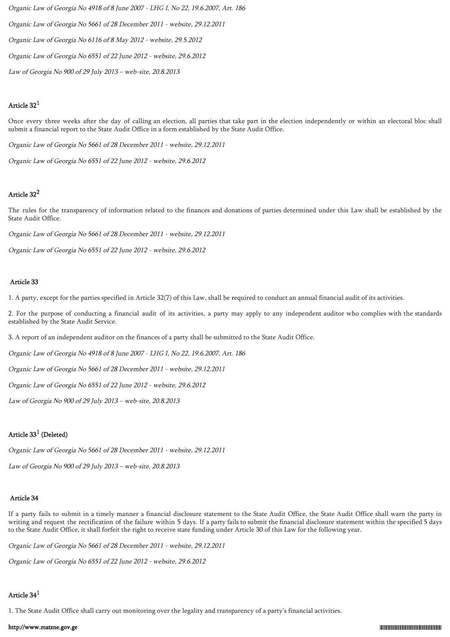Organic Law of Georgia No 4918 of 8 June 2007 - LHG I, No 22, 19.6.2007, Art. 186 Organic Law of Georgia No 5661 of 28 December 2011 - website, 29.12.2011 Organic Law of Georgia No 6116 of 8 May 2012 - website, 29.5.2012 Organic Law of Georgia No 6551 of 22 June 2012 - website, 29.6.2012 Law of Georgia No 900 of 29 July 2013 – web-site, 20.8.2013

## Article 32<sup>1</sup>

Once every three weeks after the day of calling an election, all parties that take part in the election independently or within an electoral bloc shall submit a financial report to the State Audit Office in a form established by the State Audit Office.

Organic Law of Georgia No 5661 of 28 December 2011 - website, 29.12.2011

Organic Law of Georgia No 6551 of 22 June 2012 - website, 29.6.2012

# Article 32<sup>2</sup>

The rules for the transparency of information related to the finances and donations of parties determined under this Law shall be established by the State Audit Office.

Organic Law of Georgia No 5661 of 28 December 2011 - website, 29.12.2011

Organic Law of Georgia No 6551 of 22 June 2012 - website, 29.6.2012

### Article 33

1. A party, except for the parties specified in Article 32(7) of this Law, shall be required to conduct an annual financial audit of its activities.

2. For the purpose of conducting a financial audit of its activities, a party may apply to any independent auditor who complies with the standards established by the State Audit Service.

3. A report of an independent auditor on the finances of a party shall be submitted to the State Audit Office.

Organic Law of Georgia No 4918 of 8 June 2007 - LHG I, No 22, 19.6.2007, Art. 186

Organic Law of Georgia No 5661 of 28 December 2011 - website, 29.12.2011

Organic Law of Georgia No 6551 of 22 June 2012 - website, 29.6.2012

Law of Georgia No 900 of 29 July 2013 – web-site, 20.8.2013

# Article  $33^1$  (Deleted)

Organic Law of Georgia No 5661 of 28 December 2011 - website, 29.12.2011

Law of Georgia No 900 of 29 July 2013 – web-site, 20.8.2013

## Article 34

If a party fails to submit in a timely manner a financial disclosure statement to the State Audit Office, the State Audit Office shall warn the party in writing and request the rectification of the failure within 5 days. If a party fails to submit the financial disclosure statement within the specified 5 days to the State Audit Office, it shall forfeit the right to receive state funding under Article 30 of this Law for the following year.

Organic Law of Georgia No 5661 of 28 December 2011 - website, 29.12.2011

Organic Law of Georgia No 6551 of 22 June 2012 - website, 29.6.2012

# Article 34<sup>1</sup>

1. The State Audit Office shall carry out monitoring over the legality and transparency of a party's financial activities.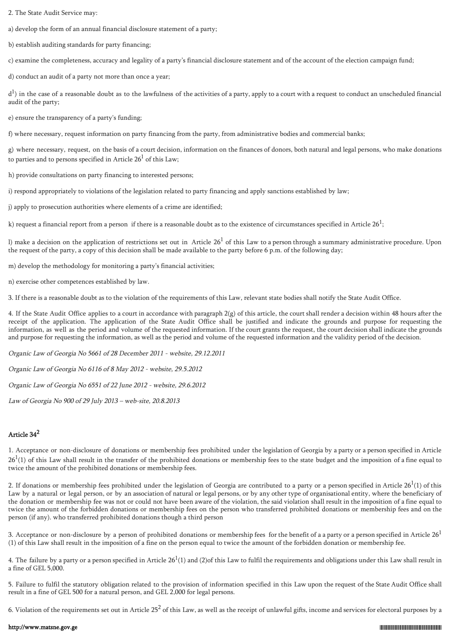2. The State Audit Service may:

a) develop the form of an annual financial disclosure statement of a party;

b) establish auditing standards for party financing;

c) examine the completeness, accuracy and legality of a party's financial disclosure statement and of the account of the election campaign fund;

d) conduct an audit of a party not more than once a year;

 ${\rm d}^1$ ) in the case of a reasonable doubt as to the lawfulness of the activities of a party, apply to a court with a request to conduct an unscheduled financial audit of the party;

e) ensure the transparency of a party's funding;

f) where necessary, request information on party financing from the party, from administrative bodies and commercial banks;

g) where necessary, request, on the basis of a court decision, information on the finances of donors, both natural and legal persons, who make donations to parties and to persons specified in Article  $26<sup>1</sup>$  of this Law;

h) provide consultations on party financing to interested persons;

i) respond appropriately to violations of the legislation related to party financing and apply sanctions established by law;

j) apply to prosecution authorities where elements of a crime are identified;

k) request a financial report from a person  $\,$  if there is a reasonable doubt as to the existence of circumstances specified in Article 26 $^1;$ 

l) make a decision on the application of restrictions set out in Article  $26<sup>1</sup>$  of this Law to a person through a summary administrative procedure. Upon the request of the party, a copy of this decision shall be made available to the party before 6 p.m. of the following day;

m) develop the methodology for monitoring a party's financial activities;

n) exercise other competences established by law.

3. If there is a reasonable doubt as to the violation of the requirements of this Law, relevant state bodies shall notify the State Audit Office.

4. If the State Audit Office applies to a court in accordance with paragraph 2(g) of this article, the court shall render a decision within 48 hours after the receipt of the application. The application of the State Audit Office shall be justified and indicate the grounds and purpose for requesting the information, as well as the period and volume of the requested information. If the court grants the request, the court decision shall indicate the grounds and purpose for requesting the information, as well as the period and volume of the requested information and the validity period of the decision.

Organic Law of Georgia No 5661 of 28 December 2011 - website, 29.12.2011

Organic Law of Georgia No 6116 of 8 May 2012 - website, 29.5.2012

Organic Law of Georgia No 6551 of 22 June 2012 - website, 29.6.2012

Law of Georgia No 900 of 29 July 2013 – web-site, 20.8.2013

## Article 34<sup>2</sup>

1. Acceptance or non-disclosure of donations or membership fees prohibited under the legislation of Georgia by a party or a person specified in Article  $26<sup>1</sup>(1)$  of this Law shall result in the transfer of the prohibited donations or membership fees to the state budget and the imposition of a fine equal to twice the amount of the prohibited donations or membership fees.

2. If donations or membership fees prohibited under the legislation of Georgia are contributed to a party or a person specified in Article 26<sup>1</sup>(1) of this Law by a natural or legal person, or by an association of natural or legal persons, or by any other type of organisational entity, where the beneficiary of the donation or membership fee was not or could not have been aware of the violation, the said violation shall result in the imposition of a fine equal to twice the amount of the forbidden donations or membership fees on the person who transferred prohibited donations or membership fees and on the person (if any). who transferred prohibited donations though a third person

3. Acceptance or non-disclosure by a person of prohibited donations or membership fees for the benefit of a a party or a person specified in Article  $26<sup>1</sup>$ (1) of this Law shall result in the imposition of a fine on the person equal to twice the amount of the forbidden donation or membership fee.

4. The failure by a party or a person specified in Article 26<sup>1</sup>(1) and (2)of this Law to fulfil the requirements and obligations under this Law shall result in a fine of GEL 5,000.

5. Failure to fulfil the statutory obligation related to the provision of information specified in this Law upon the request of the State Audit Office shall result in a fine of GEL 500 for a natural person, and GEL 2,000 for legal persons.

6. Violation of the requirements set out in Article 25<sup>2</sup> of this Law, as well as the receipt of unlawful gifts, income and services for electoral purposes by a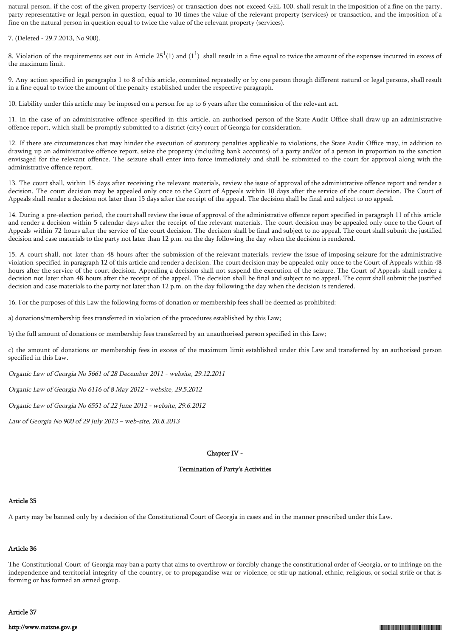natural person, if the cost of the given property (services) or transaction does not exceed GEL 100, shall result in the imposition of a fine on the party, party representative or legal person in question, equal to 10 times the value of the relevant property (services) or transaction, and the imposition of a fine on the natural person in question equal to twice the value of the relevant property (services).

7. (Deleted - 29.7.2013, No 900).

8. Violation of the requirements set out in Article 25<sup>1</sup>(1) and (1<sup>1</sup>) shall result in a fine equal to twice the amount of the expenses incurred in excess of the maximum limit.

9. Any action specified in paragraphs 1 to 8 of this article, committed repeatedly or by one person though different natural or legal persons, shall result in a fine equal to twice the amount of the penalty established under the respective paragraph.

10. Liability under this article may be imposed on a person for up to 6 years after the commission of the relevant act.

11. In the case of an administrative offence specified in this article, an authorised person of the State Audit Office shall draw up an administrative offence report, which shall be promptly submitted to a district (city) court of Georgia for consideration.

12. If there are circumstances that may hinder the execution of statutory penalties applicable to violations, the State Audit Office may, in addition to drawing up an administrative offence report, seize the property (including bank accounts) of a party and/or of a person in proportion to the sanction envisaged for the relevant offence. The seizure shall enter into force immediately and shall be submitted to the court for approval along with the administrative offence report.

13. The court shall, within 15 days after receiving the relevant materials, review the issue of approval of the administrative offence report and render a decision. The court decision may be appealed only once to the Court of Appeals within 10 days after the service of the court decision. The Court of Appeals shall render a decision not later than 15 days after the receipt of the appeal. The decision shall be final and subject to no appeal.

14. During a pre-election period, the court shall review the issue of approval of the administrative offence report specified in paragraph 11 of this article and render a decision within 5 calendar days after the receipt of the relevant materials. The court decision may be appealed only once to the Court of Appeals within 72 hours after the service of the court decision. The decision shall be final and subject to no appeal. The court shall submit the justified decision and case materials to the party not later than 12 p.m. on the day following the day when the decision is rendered.

15. A court shall, not later than 48 hours after the submission of the relevant materials, review the issue of imposing seizure for the administrative violation specified in paragraph 12 of this article and render a decision. The court decision may be appealed only once to the Court of Appeals within 48 hours after the service of the court decision. Appealing a decision shall not suspend the execution of the seizure. The Court of Appeals shall render a decision not later than 48 hours after the receipt of the appeal. The decision shall be final and subject to no appeal. The court shall submit the justified decision and case materials to the party not later than 12 p.m. on the day following the day when the decision is rendered.

16. For the purposes of this Law the following forms of donation or membership fees shall be deemed as prohibited:

a) donations/membership fees transferred in violation of the procedures established by this Law;

b) the full amount of donations or membership fees transferred by an unauthorised person specified in this Law;

c) the amount of donations or membership fees in excess of the maximum limit established under this Law and transferred by an authorised person specified in this Law.

Organic Law of Georgia No 5661 of 28 December 2011 - website, 29.12.2011

Organic Law of Georgia No 6116 of 8 May 2012 - website, 29.5.2012

Organic Law of Georgia No 6551 of 22 June 2012 - website, 29.6.2012

Law of Georgia No 900 of 29 July 2013 – web-site, 20.8.2013

## Chapter IV -

## Termination of Party's Activities

### Article 35

A party may be banned only by a decision of the Constitutional Court of Georgia in cases and in the manner prescribed under this Law.

# Article 36

The Constitutional Court of Georgia may ban a party that aims to overthrow or forcibly change the constitutional order of Georgia, or to infringe on the independence and territorial integrity of the country, or to propagandise war or violence, or stir up national, ethnic, religious, or social strife or that is forming or has formed an armed group.

## Article 37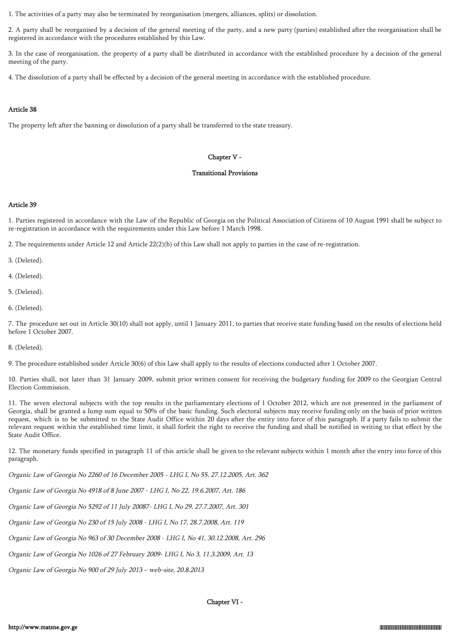1. The activities of a party may also be terminated by reorganisation (mergers, alliances, splits) or dissolution.

2. A party shall be reorganised by a decision of the general meeting of the party, and a new party (parties) established after the reorganisation shall be registered in accordance with the procedures established by this Law.

3. In the case of reorganisation, the property of a party shall be distributed in accordance with the established procedure by a decision of the general meeting of the party.

4. The dissolution of a party shall be effected by a decision of the general meeting in accordance with the established procedure.

## Article 38

The property left after the banning or dissolution of a party shall be transferred to the state treasury.

## Chapter V -

## Transitional Provisions

# Article 39

1. Parties registered in accordance with the Law of the Republic of Georgia on the Political Association of Citizens of 10 August 1991 shall be subject to re-registration in accordance with the requirements under this Law before 1 March 1998.

2. The requirements under Article 12 and Article 22(2)(b) of this Law shall not apply to parties in the case of re-registration.

3. (Deleted).

4. (Deleted).

5. (Deleted).

6. (Deleted).

7. The procedure set out in Article 30(10) shall not apply, until 1 January 2011, to parties that receive state funding based on the results of elections held before 1 October 2007.

8. (Deleted).

9. The procedure established under Article 30(6) of this Law shall apply to the results of elections conducted after 1 October 2007.

10. Parties shall, not later than 31 January 2009, submit prior written consent for receiving the budgetary funding for 2009 to the Georgian Central Election Commission.

11. The seven electoral subjects with the top results in the parliamentary elections of 1 October 2012, which are not presented in the parliament of Georgia, shall be granted a lump sum equal to 50% of the basic funding. Such electoral subjects may receive funding only on the basis of prior written request, which is to be submitted to the State Audit Office within 20 days after the entity into force of this paragraph. If a party fails to submit the relevant request within the established time limit, it shall forfeit the right to receive the funding and shall be notified in writing to that effect by the State Audit Office.

12. The monetary funds specified in paragraph 11 of this article shall be given to the relevant subjects within 1 month after the entry into force of this paragraph.

Organic Law of Georgia No 2260 of 16 December 2005 - LHG I, No 55, 27.12.2005, Art. 362

Organic Law of Georgia No 4918 of 8 June 2007 - LHG I, No 22, 19.6.2007, Art. 186

Organic Law of Georgia No 5292 of 11 July 20087- LHG I, No 29, 27.7.2007, Art. 301

Organic Law of Georgia No 230 of 15 July 2008 - LHG I, No 17, 28.7.2008, Art. 119

Organic Law of Georgia No 963 of 30 December 2008 - LHG I, No 41, 30.12.2008, Art. 296

Organic Law of Georgia No 1026 of 27 February 2009- LHG I, No 3, 11.3.2009, Art. 13

Organic Law of Georgia No 900 of 29 July 2013 – web-site, 20.8.2013